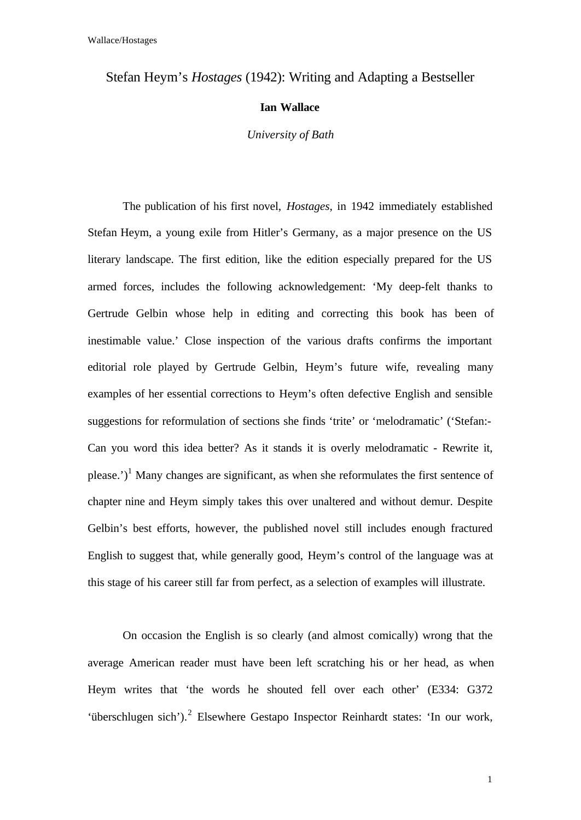## Stefan Heym's *Hostages* (1942): Writing and Adapting a Bestseller

## **Ian Wallace**

*University of Bath*

The publication of his first novel, *Hostages*, in 1942 immediately established Stefan Heym, a young exile from Hitler's Germany, as a major presence on the US literary landscape. The first edition, like the edition especially prepared for the US armed forces, includes the following acknowledgement: 'My deep-felt thanks to Gertrude Gelbin whose help in editing and correcting this book has been of inestimable value.' Close inspection of the various drafts confirms the important editorial role played by Gertrude Gelbin, Heym's future wife, revealing many examples of her essential corrections to Heym's often defective English and sensible suggestions for reformulation of sections she finds 'trite' or 'melodramatic' ('Stefan:- Can you word this idea better? As it stands it is overly melodramatic - Rewrite it, please.')<sup>1</sup> Many changes are significant, as when she reformulates the first sentence of chapter nine and Heym simply takes this over unaltered and without demur. Despite Gelbin's best efforts, however, the published novel still includes enough fractured English to suggest that, while generally good, Heym's control of the language was at this stage of his career still far from perfect, as a selection of examples will illustrate.

On occasion the English is so clearly (and almost comically) wrong that the average American reader must have been left scratching his or her head, as when Heym writes that 'the words he shouted fell over each other' (E334: G372 'überschlugen sich').<sup>2</sup> Elsewhere Gestapo Inspector Reinhardt states: 'In our work,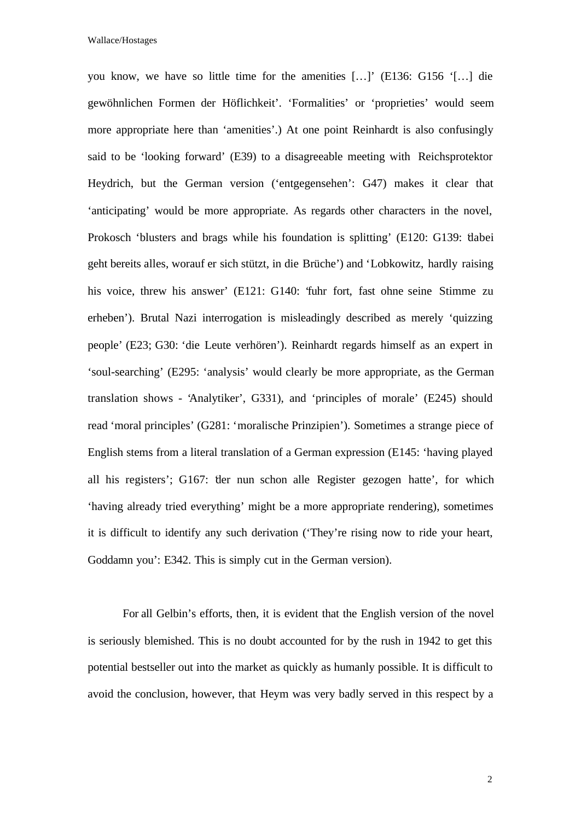you know, we have so little time for the amenities […]' (E136: G156 '[…] die gewöhnlichen Formen der Höflichkeit'. 'Formalities' or 'proprieties' would seem more appropriate here than 'amenities'.) At one point Reinhardt is also confusingly said to be 'looking forward' (E39) to a disagreeable meeting with Reichsprotektor Heydrich, but the German version ('entgegensehen': G47) makes it clear that 'anticipating' would be more appropriate. As regards other characters in the novel, Prokosch 'blusters and brags while his foundation is splitting' (E120: G139: 'dabei geht bereits alles, worauf er sich stützt, in die Brüche') and 'Lobkowitz, hardly raising his voice, threw his answer' (E121: G140: 'fuhr fort, fast ohne seine Stimme zu erheben'). Brutal Nazi interrogation is misleadingly described as merely 'quizzing people' (E23; G30: 'die Leute verhören'). Reinhardt regards himself as an expert in 'soul-searching' (E295: 'analysis' would clearly be more appropriate, as the German translation shows - 'Analytiker', G331), and 'principles of morale' (E245) should read 'moral principles' (G281: 'moralische Prinzipien'). Sometimes a strange piece of English stems from a literal translation of a German expression (E145: 'having played all his registers'; G167: 'der nun schon alle Register gezogen hatte', for which 'having already tried everything' might be a more appropriate rendering), sometimes it is difficult to identify any such derivation ('They're rising now to ride your heart, Goddamn you': E342. This is simply cut in the German version).

For all Gelbin's efforts, then, it is evident that the English version of the novel is seriously blemished. This is no doubt accounted for by the rush in 1942 to get this potential bestseller out into the market as quickly as humanly possible. It is difficult to avoid the conclusion, however, that Heym was very badly served in this respect by a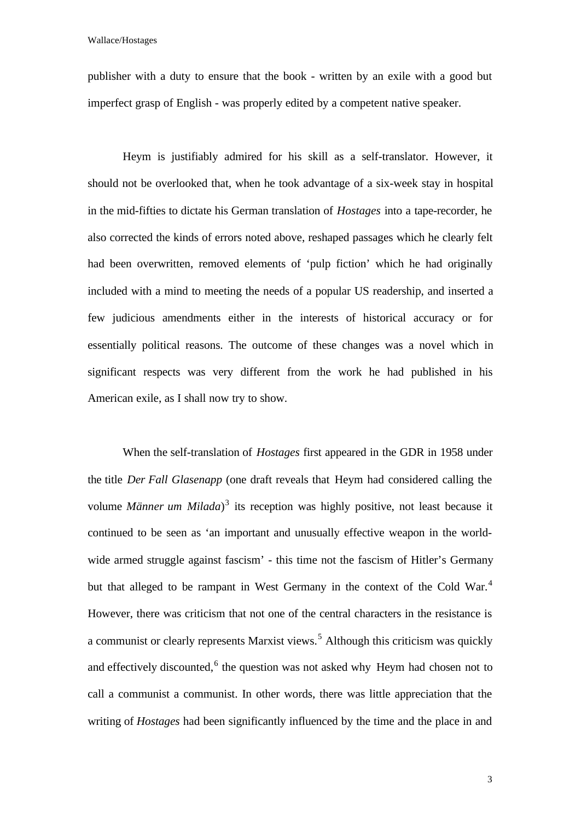publisher with a duty to ensure that the book - written by an exile with a good but imperfect grasp of English - was properly edited by a competent native speaker.

Heym is justifiably admired for his skill as a self-translator. However, it should not be overlooked that, when he took advantage of a six-week stay in hospital in the mid-fifties to dictate his German translation of *Hostages* into a tape-recorder, he also corrected the kinds of errors noted above, reshaped passages which he clearly felt had been overwritten, removed elements of 'pulp fiction' which he had originally included with a mind to meeting the needs of a popular US readership, and inserted a few judicious amendments either in the interests of historical accuracy or for essentially political reasons. The outcome of these changes was a novel which in significant respects was very different from the work he had published in his American exile, as I shall now try to show.

When the self-translation of *Hostages* first appeared in the GDR in 1958 under the title *Der Fall Glasenapp* (one draft reveals that Heym had considered calling the volume *Männer um Milada*)<sup>3</sup> its reception was highly positive, not least because it continued to be seen as 'an important and unusually effective weapon in the worldwide armed struggle against fascism' - this time not the fascism of Hitler's Germany but that alleged to be rampant in West Germany in the context of the Cold War.<sup>4</sup> However, there was criticism that not one of the central characters in the resistance is a communist or clearly represents Marxist views.<sup>5</sup> Although this criticism was quickly and effectively discounted,<sup>6</sup> the question was not asked why Heym had chosen not to call a communist a communist. In other words, there was little appreciation that the writing of *Hostages* had been significantly influenced by the time and the place in and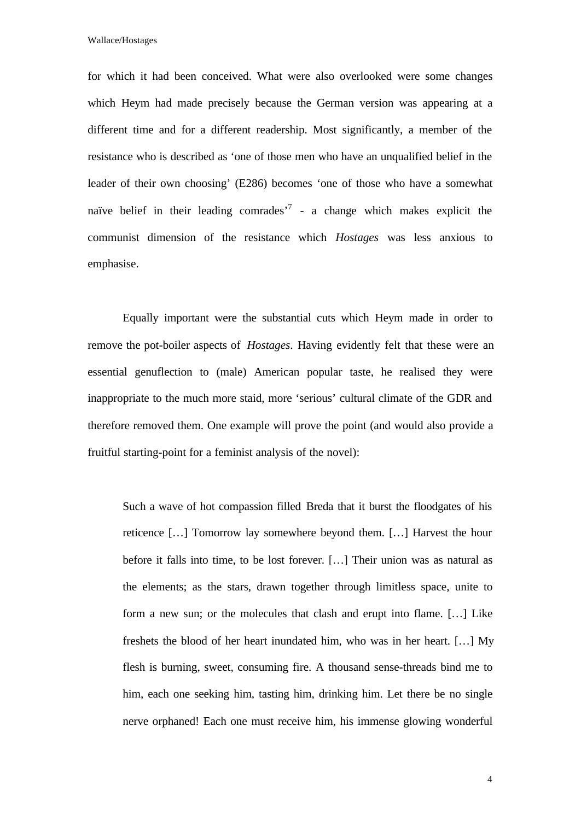for which it had been conceived. What were also overlooked were some changes which Heym had made precisely because the German version was appearing at a different time and for a different readership. Most significantly, a member of the resistance who is described as 'one of those men who have an unqualified belief in the leader of their own choosing' (E286) becomes 'one of those who have a somewhat naïve belief in their leading comrades<sup>7</sup> - a change which makes explicit the communist dimension of the resistance which *Hostages* was less anxious to emphasise.

Equally important were the substantial cuts which Heym made in order to remove the pot-boiler aspects of *Hostages*. Having evidently felt that these were an essential genuflection to (male) American popular taste, he realised they were inappropriate to the much more staid, more 'serious' cultural climate of the GDR and therefore removed them. One example will prove the point (and would also provide a fruitful starting-point for a feminist analysis of the novel):

Such a wave of hot compassion filled Breda that it burst the floodgates of his reticence […] Tomorrow lay somewhere beyond them. […] Harvest the hour before it falls into time, to be lost forever. […] Their union was as natural as the elements; as the stars, drawn together through limitless space, unite to form a new sun; or the molecules that clash and erupt into flame. […] Like freshets the blood of her heart inundated him, who was in her heart. […] My flesh is burning, sweet, consuming fire. A thousand sense-threads bind me to him, each one seeking him, tasting him, drinking him. Let there be no single nerve orphaned! Each one must receive him, his immense glowing wonderful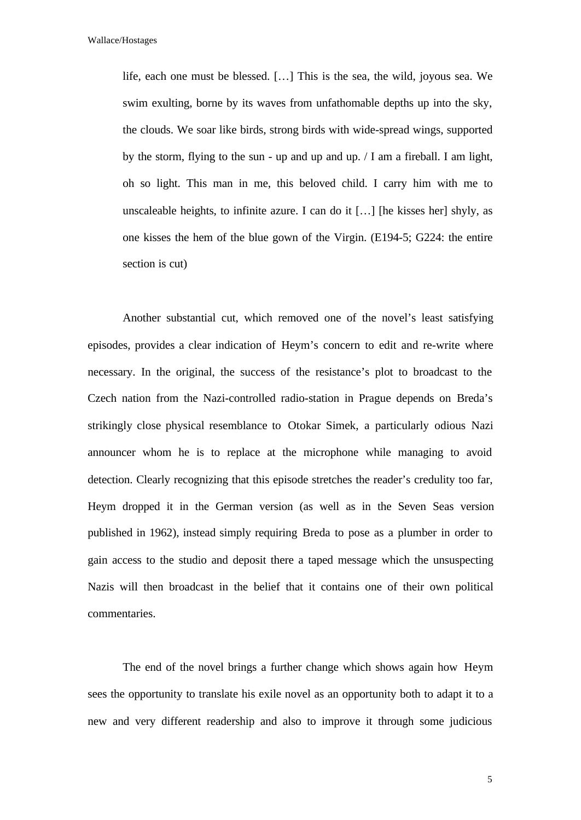life, each one must be blessed. […] This is the sea, the wild, joyous sea. We swim exulting, borne by its waves from unfathomable depths up into the sky, the clouds. We soar like birds, strong birds with wide-spread wings, supported by the storm, flying to the sun - up and up and up. / I am a fireball. I am light, oh so light. This man in me, this beloved child. I carry him with me to unscaleable heights, to infinite azure. I can do it  $[\dots]$  [he kisses her] shyly, as one kisses the hem of the blue gown of the Virgin. (E194-5; G224: the entire section is cut)

Another substantial cut, which removed one of the novel's least satisfying episodes, provides a clear indication of Heym's concern to edit and re-write where necessary. In the original, the success of the resistance's plot to broadcast to the Czech nation from the Nazi-controlled radio-station in Prague depends on Breda's strikingly close physical resemblance to Otokar Simek, a particularly odious Nazi announcer whom he is to replace at the microphone while managing to avoid detection. Clearly recognizing that this episode stretches the reader's credulity too far, Heym dropped it in the German version (as well as in the Seven Seas version published in 1962), instead simply requiring Breda to pose as a plumber in order to gain access to the studio and deposit there a taped message which the unsuspecting Nazis will then broadcast in the belief that it contains one of their own political commentaries.

The end of the novel brings a further change which shows again how Heym sees the opportunity to translate his exile novel as an opportunity both to adapt it to a new and very different readership and also to improve it through some judicious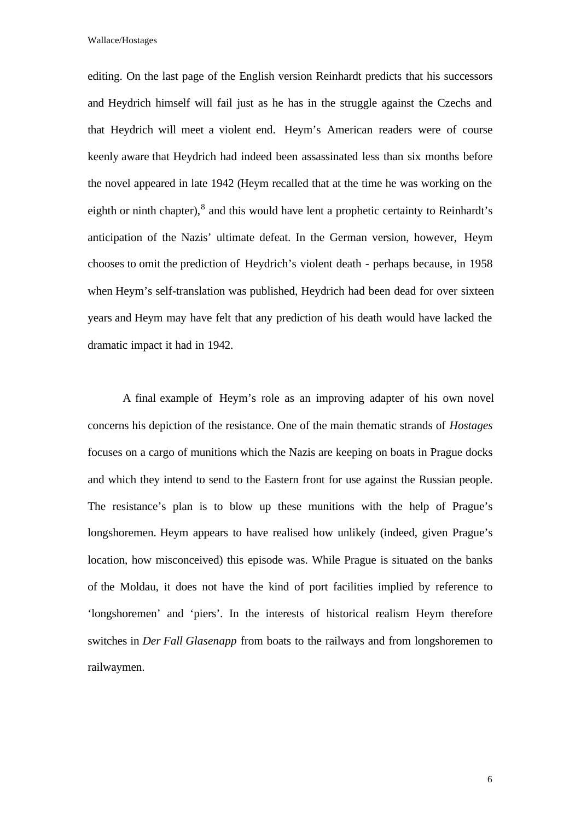editing. On the last page of the English version Reinhardt predicts that his successors and Heydrich himself will fail just as he has in the struggle against the Czechs and that Heydrich will meet a violent end. Heym's American readers were of course keenly aware that Heydrich had indeed been assassinated less than six months before the novel appeared in late 1942 (Heym recalled that at the time he was working on the eighth or ninth chapter), $^{8}$  and this would have lent a prophetic certainty to Reinhardt's anticipation of the Nazis' ultimate defeat. In the German version, however, Heym chooses to omit the prediction of Heydrich's violent death - perhaps because, in 1958 when Heym's self-translation was published, Heydrich had been dead for over sixteen years and Heym may have felt that any prediction of his death would have lacked the dramatic impact it had in 1942.

A final example of Heym's role as an improving adapter of his own novel concerns his depiction of the resistance. One of the main thematic strands of *Hostages* focuses on a cargo of munitions which the Nazis are keeping on boats in Prague docks and which they intend to send to the Eastern front for use against the Russian people. The resistance's plan is to blow up these munitions with the help of Prague's longshoremen. Heym appears to have realised how unlikely (indeed, given Prague's location, how misconceived) this episode was. While Prague is situated on the banks of the Moldau, it does not have the kind of port facilities implied by reference to 'longshoremen' and 'piers'. In the interests of historical realism Heym therefore switches in *Der Fall Glasenapp* from boats to the railways and from longshoremen to railwaymen.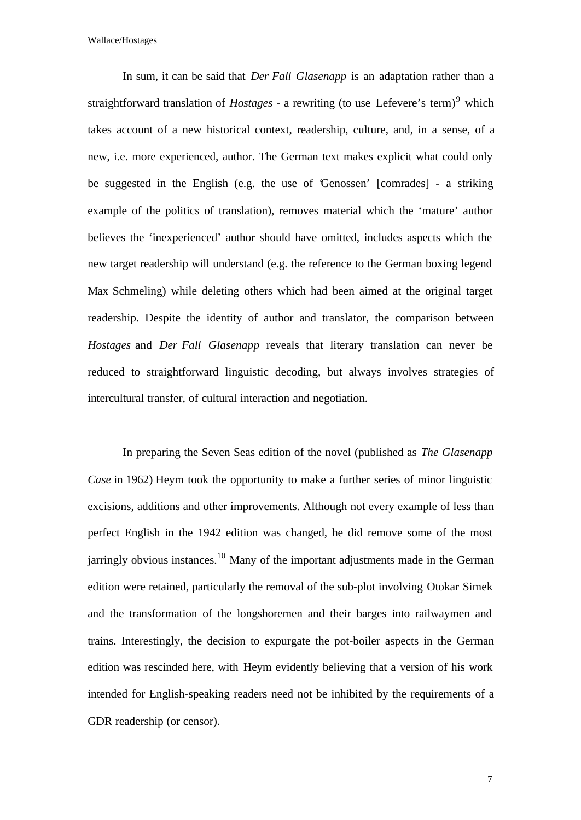In sum, it can be said that *Der Fall Glasenapp* is an adaptation rather than a straightforward translation of *Hostages* - a rewriting (to use Lefevere's term)<sup>9</sup> which takes account of a new historical context, readership, culture, and, in a sense, of a new, i.e. more experienced, author. The German text makes explicit what could only be suggested in the English (e.g. the use of 'Genossen' [comrades] - a striking example of the politics of translation), removes material which the 'mature' author believes the 'inexperienced' author should have omitted, includes aspects which the new target readership will understand (e.g. the reference to the German boxing legend Max Schmeling) while deleting others which had been aimed at the original target readership. Despite the identity of author and translator, the comparison between *Hostages* and *Der Fall Glasenapp* reveals that literary translation can never be reduced to straightforward linguistic decoding, but always involves strategies of intercultural transfer, of cultural interaction and negotiation.

In preparing the Seven Seas edition of the novel (published as *The Glasenapp Case* in 1962) Heym took the opportunity to make a further series of minor linguistic excisions, additions and other improvements. Although not every example of less than perfect English in the 1942 edition was changed, he did remove some of the most jarringly obvious instances.<sup>10</sup> Many of the important adjustments made in the German edition were retained, particularly the removal of the sub-plot involving Otokar Simek and the transformation of the longshoremen and their barges into railwaymen and trains. Interestingly, the decision to expurgate the pot-boiler aspects in the German edition was rescinded here, with Heym evidently believing that a version of his work intended for English-speaking readers need not be inhibited by the requirements of a GDR readership (or censor).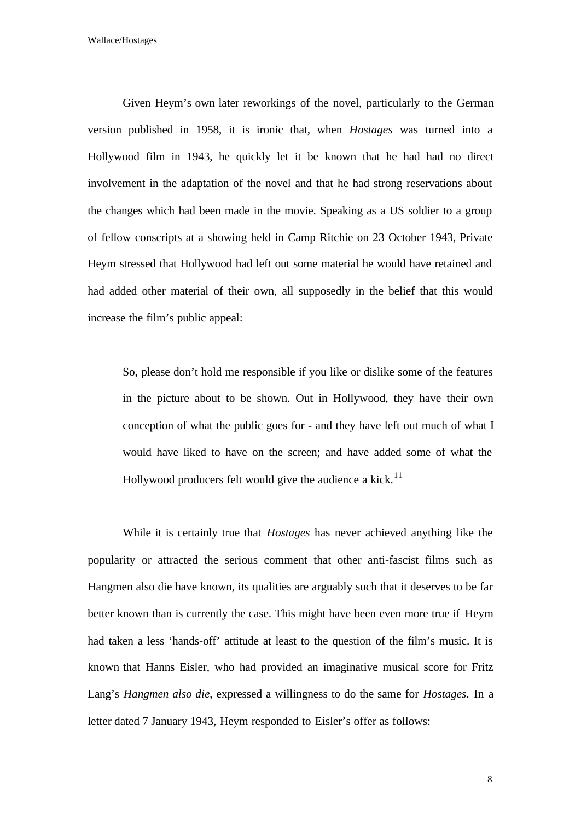Given Heym's own later reworkings of the novel, particularly to the German version published in 1958, it is ironic that, when *Hostages* was turned into a Hollywood film in 1943, he quickly let it be known that he had had no direct involvement in the adaptation of the novel and that he had strong reservations about the changes which had been made in the movie. Speaking as a US soldier to a group of fellow conscripts at a showing held in Camp Ritchie on 23 October 1943, Private Heym stressed that Hollywood had left out some material he would have retained and had added other material of their own, all supposedly in the belief that this would increase the film's public appeal:

So, please don't hold me responsible if you like or dislike some of the features in the picture about to be shown. Out in Hollywood, they have their own conception of what the public goes for - and they have left out much of what I would have liked to have on the screen; and have added some of what the Hollywood producers felt would give the audience a kick.<sup>11</sup>

While it is certainly true that *Hostages* has never achieved anything like the popularity or attracted the serious comment that other anti-fascist films such as Hangmen also die have known, its qualities are arguably such that it deserves to be far better known than is currently the case. This might have been even more true if Heym had taken a less 'hands-off' attitude at least to the question of the film's music. It is known that Hanns Eisler, who had provided an imaginative musical score for Fritz Lang's *Hangmen also die*, expressed a willingness to do the same for *Hostages*. In a letter dated 7 January 1943, Heym responded to Eisler's offer as follows: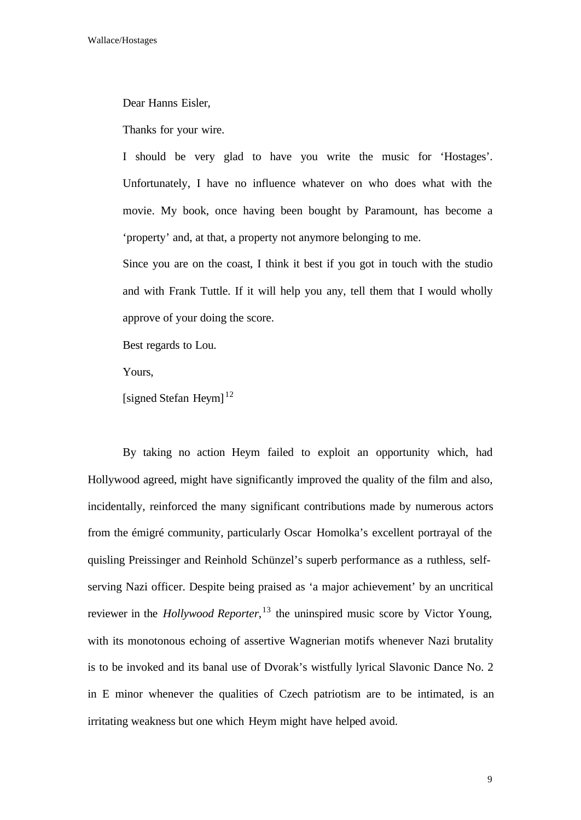Dear Hanns Eisler,

Thanks for your wire.

I should be very glad to have you write the music for 'Hostages'. Unfortunately, I have no influence whatever on who does what with the movie. My book, once having been bought by Paramount, has become a 'property' and, at that, a property not anymore belonging to me.

Since you are on the coast, I think it best if you got in touch with the studio and with Frank Tuttle. If it will help you any, tell them that I would wholly approve of your doing the score.

Best regards to Lou.

Yours,

[signed Stefan Heym] $^{12}$ 

By taking no action Heym failed to exploit an opportunity which, had Hollywood agreed, might have significantly improved the quality of the film and also, incidentally, reinforced the many significant contributions made by numerous actors from the émigré community, particularly Oscar Homolka's excellent portrayal of the quisling Preissinger and Reinhold Schünzel's superb performance as a ruthless, selfserving Nazi officer. Despite being praised as 'a major achievement' by an uncritical reviewer in the *Hollywood Reporter*, <sup>13</sup> the uninspired music score by Victor Young, with its monotonous echoing of assertive Wagnerian motifs whenever Nazi brutality is to be invoked and its banal use of Dvorak's wistfully lyrical Slavonic Dance No. 2 in E minor whenever the qualities of Czech patriotism are to be intimated, is an irritating weakness but one which Heym might have helped avoid.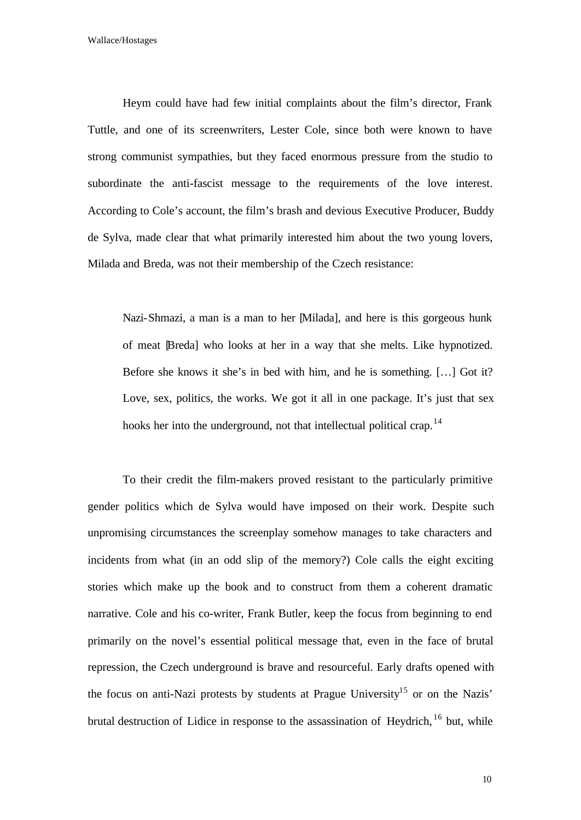Heym could have had few initial complaints about the film's director, Frank Tuttle, and one of its screenwriters, Lester Cole, since both were known to have strong communist sympathies, but they faced enormous pressure from the studio to subordinate the anti-fascist message to the requirements of the love interest. According to Cole's account, the film's brash and devious Executive Producer, Buddy de Sylva, made clear that what primarily interested him about the two young lovers, Milada and Breda, was not their membership of the Czech resistance:

Nazi-Shmazi, a man is a man to her [Milada], and here is this gorgeous hunk of meat [Breda] who looks at her in a way that she melts. Like hypnotized. Before she knows it she's in bed with him, and he is something. […] Got it? Love, sex, politics, the works. We got it all in one package. It's just that sex hooks her into the underground, not that intellectual political crap.<sup>14</sup>

To their credit the film-makers proved resistant to the particularly primitive gender politics which de Sylva would have imposed on their work. Despite such unpromising circumstances the screenplay somehow manages to take characters and incidents from what (in an odd slip of the memory?) Cole calls the eight exciting stories which make up the book and to construct from them a coherent dramatic narrative. Cole and his co-writer, Frank Butler, keep the focus from beginning to end primarily on the novel's essential political message that, even in the face of brutal repression, the Czech underground is brave and resourceful. Early drafts opened with the focus on anti-Nazi protests by students at Prague University<sup>15</sup> or on the Nazis' brutal destruction of Lidice in response to the assassination of Heydrich,  $16$  but, while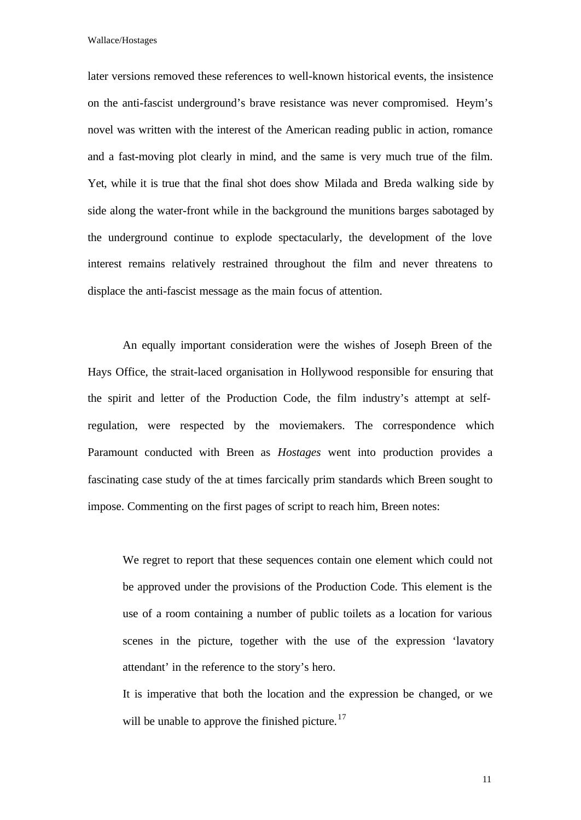later versions removed these references to well-known historical events, the insistence on the anti-fascist underground's brave resistance was never compromised. Heym's novel was written with the interest of the American reading public in action, romance and a fast-moving plot clearly in mind, and the same is very much true of the film. Yet, while it is true that the final shot does show Milada and Breda walking side by side along the water-front while in the background the munitions barges sabotaged by the underground continue to explode spectacularly, the development of the love interest remains relatively restrained throughout the film and never threatens to displace the anti-fascist message as the main focus of attention.

An equally important consideration were the wishes of Joseph Breen of the Hays Office, the strait-laced organisation in Hollywood responsible for ensuring that the spirit and letter of the Production Code, the film industry's attempt at selfregulation, were respected by the moviemakers. The correspondence which Paramount conducted with Breen as *Hostages* went into production provides a fascinating case study of the at times farcically prim standards which Breen sought to impose. Commenting on the first pages of script to reach him, Breen notes:

We regret to report that these sequences contain one element which could not be approved under the provisions of the Production Code. This element is the use of a room containing a number of public toilets as a location for various scenes in the picture, together with the use of the expression 'lavatory attendant' in the reference to the story's hero.

It is imperative that both the location and the expression be changed, or we will be unable to approve the finished picture.<sup>17</sup>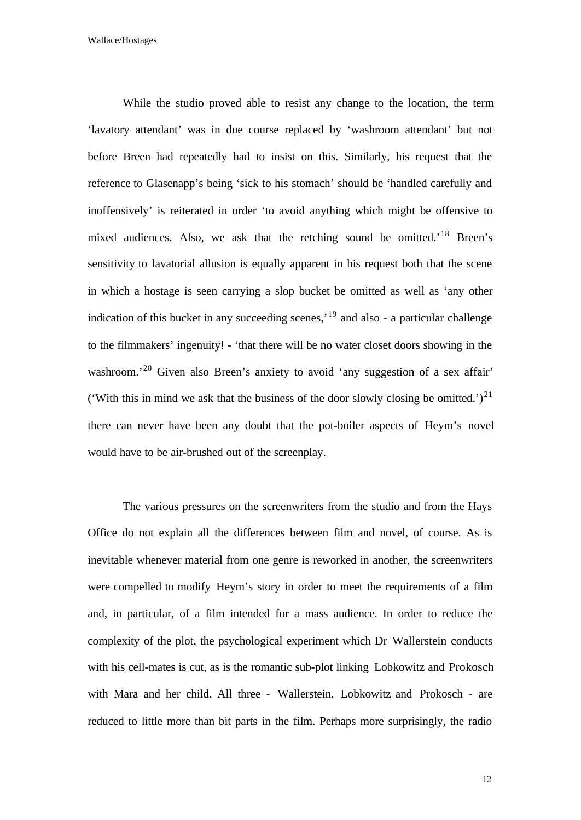While the studio proved able to resist any change to the location, the term 'lavatory attendant' was in due course replaced by 'washroom attendant' but not before Breen had repeatedly had to insist on this. Similarly, his request that the reference to Glasenapp's being 'sick to his stomach' should be 'handled carefully and inoffensively' is reiterated in order 'to avoid anything which might be offensive to mixed audiences. Also, we ask that the retching sound be omitted.<sup>18</sup> Breen's sensitivity to lavatorial allusion is equally apparent in his request both that the scene in which a hostage is seen carrying a slop bucket be omitted as well as 'any other indication of this bucket in any succeeding scenes,'<sup>19</sup> and also - a particular challenge to the filmmakers' ingenuity! - 'that there will be no water closet doors showing in the washroom.<sup>20</sup> Given also Breen's anxiety to avoid 'any suggestion of a sex affair' ('With this in mind we ask that the business of the door slowly closing be omitted.')<sup>21</sup> there can never have been any doubt that the pot-boiler aspects of Heym's novel would have to be air-brushed out of the screenplay.

The various pressures on the screenwriters from the studio and from the Hays Office do not explain all the differences between film and novel, of course. As is inevitable whenever material from one genre is reworked in another, the screenwriters were compelled to modify Heym's story in order to meet the requirements of a film and, in particular, of a film intended for a mass audience. In order to reduce the complexity of the plot, the psychological experiment which Dr Wallerstein conducts with his cell-mates is cut, as is the romantic sub-plot linking Lobkowitz and Prokosch with Mara and her child. All three - Wallerstein, Lobkowitz and Prokosch - are reduced to little more than bit parts in the film. Perhaps more surprisingly, the radio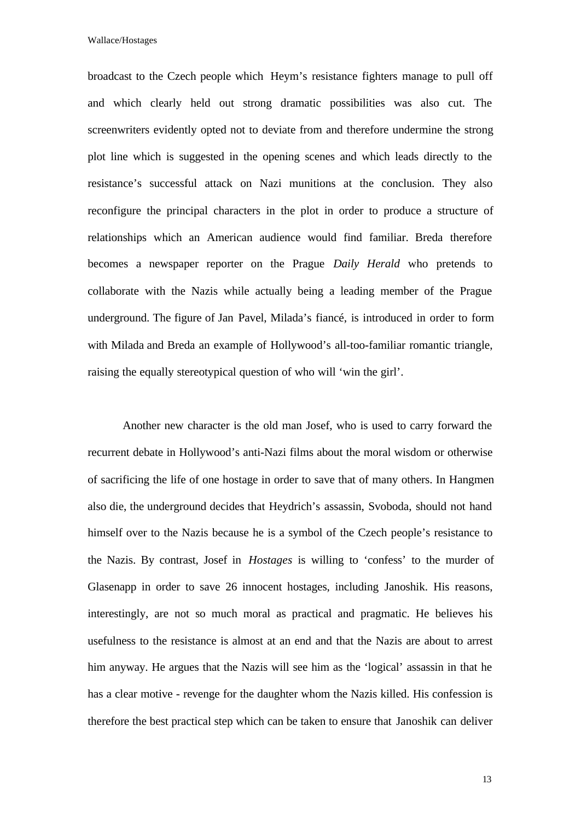broadcast to the Czech people which Heym's resistance fighters manage to pull off and which clearly held out strong dramatic possibilities was also cut. The screenwriters evidently opted not to deviate from and therefore undermine the strong plot line which is suggested in the opening scenes and which leads directly to the resistance's successful attack on Nazi munitions at the conclusion. They also reconfigure the principal characters in the plot in order to produce a structure of relationships which an American audience would find familiar. Breda therefore becomes a newspaper reporter on the Prague *Daily Herald* who pretends to collaborate with the Nazis while actually being a leading member of the Prague underground. The figure of Jan Pavel, Milada's fiancé, is introduced in order to form with Milada and Breda an example of Hollywood's all-too-familiar romantic triangle, raising the equally stereotypical question of who will 'win the girl'.

Another new character is the old man Josef, who is used to carry forward the recurrent debate in Hollywood's anti-Nazi films about the moral wisdom or otherwise of sacrificing the life of one hostage in order to save that of many others. In Hangmen also die, the underground decides that Heydrich's assassin, Svoboda, should not hand himself over to the Nazis because he is a symbol of the Czech people's resistance to the Nazis. By contrast, Josef in *Hostages* is willing to 'confess' to the murder of Glasenapp in order to save 26 innocent hostages, including Janoshik. His reasons, interestingly, are not so much moral as practical and pragmatic. He believes his usefulness to the resistance is almost at an end and that the Nazis are about to arrest him anyway. He argues that the Nazis will see him as the 'logical' assassin in that he has a clear motive - revenge for the daughter whom the Nazis killed. His confession is therefore the best practical step which can be taken to ensure that Janoshik can deliver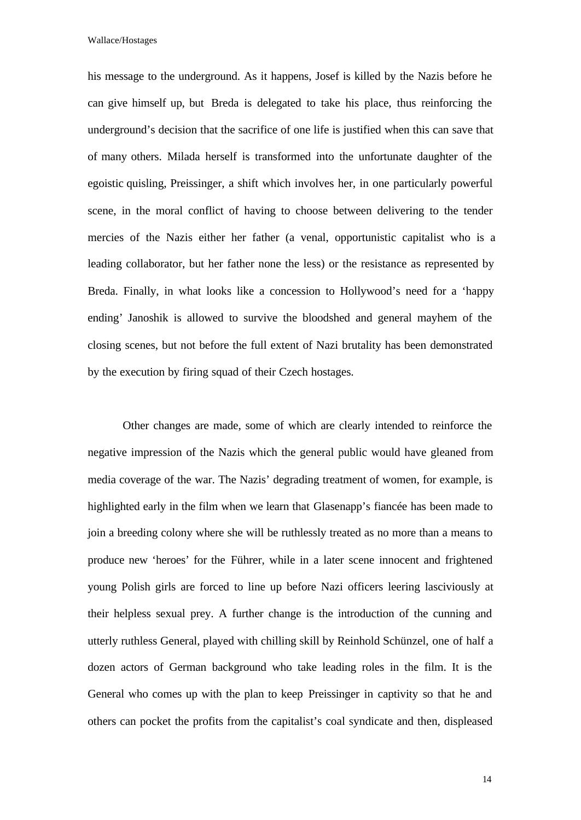his message to the underground. As it happens, Josef is killed by the Nazis before he can give himself up, but Breda is delegated to take his place, thus reinforcing the underground's decision that the sacrifice of one life is justified when this can save that of many others. Milada herself is transformed into the unfortunate daughter of the egoistic quisling, Preissinger, a shift which involves her, in one particularly powerful scene, in the moral conflict of having to choose between delivering to the tender mercies of the Nazis either her father (a venal, opportunistic capitalist who is a leading collaborator, but her father none the less) or the resistance as represented by Breda. Finally, in what looks like a concession to Hollywood's need for a 'happy ending' Janoshik is allowed to survive the bloodshed and general mayhem of the closing scenes, but not before the full extent of Nazi brutality has been demonstrated by the execution by firing squad of their Czech hostages.

Other changes are made, some of which are clearly intended to reinforce the negative impression of the Nazis which the general public would have gleaned from media coverage of the war. The Nazis' degrading treatment of women, for example, is highlighted early in the film when we learn that Glasenapp's fiancée has been made to join a breeding colony where she will be ruthlessly treated as no more than a means to produce new 'heroes' for the Führer, while in a later scene innocent and frightened young Polish girls are forced to line up before Nazi officers leering lasciviously at their helpless sexual prey. A further change is the introduction of the cunning and utterly ruthless General, played with chilling skill by Reinhold Schünzel, one of half a dozen actors of German background who take leading roles in the film. It is the General who comes up with the plan to keep Preissinger in captivity so that he and others can pocket the profits from the capitalist's coal syndicate and then, displeased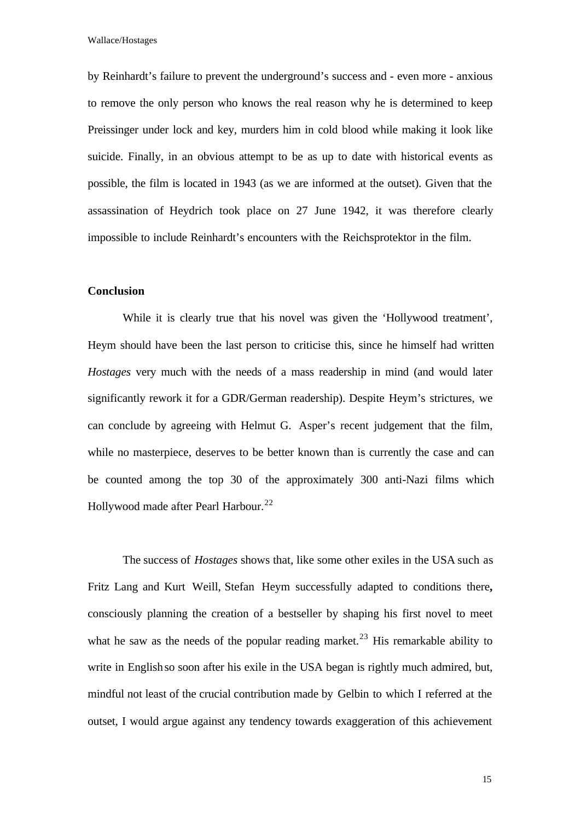by Reinhardt's failure to prevent the underground's success and - even more - anxious to remove the only person who knows the real reason why he is determined to keep Preissinger under lock and key, murders him in cold blood while making it look like suicide. Finally, in an obvious attempt to be as up to date with historical events as possible, the film is located in 1943 (as we are informed at the outset). Given that the assassination of Heydrich took place on 27 June 1942, it was therefore clearly impossible to include Reinhardt's encounters with the Reichsprotektor in the film.

## **Conclusion**

While it is clearly true that his novel was given the 'Hollywood treatment', Heym should have been the last person to criticise this, since he himself had written *Hostages* very much with the needs of a mass readership in mind (and would later significantly rework it for a GDR/German readership). Despite Heym's strictures, we can conclude by agreeing with Helmut G. Asper's recent judgement that the film, while no masterpiece, deserves to be better known than is currently the case and can be counted among the top 30 of the approximately 300 anti-Nazi films which Hollywood made after Pearl Harbour.<sup>22</sup>

The success of *Hostages* shows that, like some other exiles in the USA such as Fritz Lang and Kurt Weill, Stefan Heym successfully adapted to conditions there**,** consciously planning the creation of a bestseller by shaping his first novel to meet what he saw as the needs of the popular reading market.<sup>23</sup> His remarkable ability to write in English so soon after his exile in the USA began is rightly much admired, but, mindful not least of the crucial contribution made by Gelbin to which I referred at the outset, I would argue against any tendency towards exaggeration of this achievement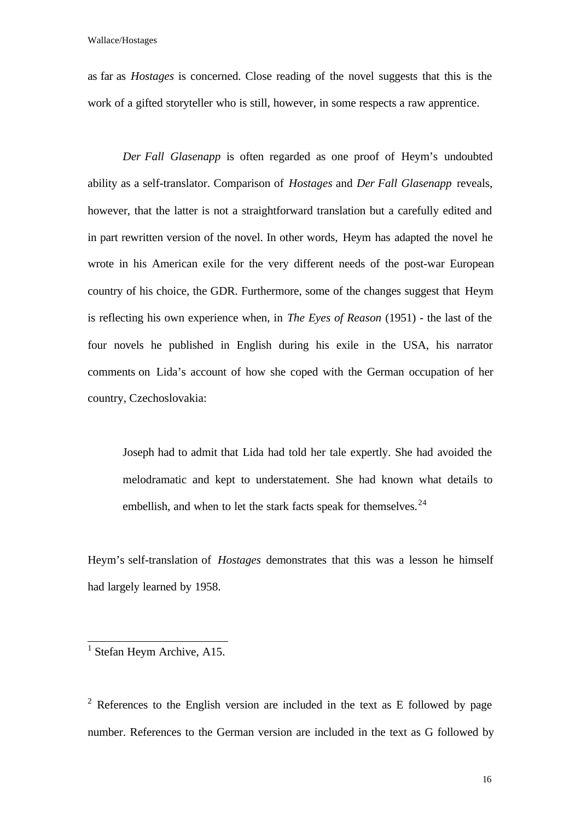as far as *Hostages* is concerned. Close reading of the novel suggests that this is the work of a gifted storyteller who is still, however, in some respects a raw apprentice.

*Der Fall Glasenapp* is often regarded as one proof of Heym's undoubted ability as a self-translator. Comparison of *Hostages* and *Der Fall Glasenapp* reveals, however, that the latter is not a straightforward translation but a carefully edited and in part rewritten version of the novel. In other words, Heym has adapted the novel he wrote in his American exile for the very different needs of the post-war European country of his choice, the GDR. Furthermore, some of the changes suggest that Heym is reflecting his own experience when, in *The Eyes of Reason* (1951) - the last of the four novels he published in English during his exile in the USA, his narrator comments on Lida's account of how she coped with the German occupation of her country, Czechoslovakia:

Joseph had to admit that Lida had told her tale expertly. She had avoided the melodramatic and kept to understatement. She had known what details to embellish, and when to let the stark facts speak for themselves.  $24$ 

Heym's self-translation of *Hostages* demonstrates that this was a lesson he himself had largely learned by 1958.

<sup>2</sup> References to the English version are included in the text as E followed by page number. References to the German version are included in the text as G followed by

<sup>&</sup>lt;sup>1</sup> Stefan Heym Archive, A15.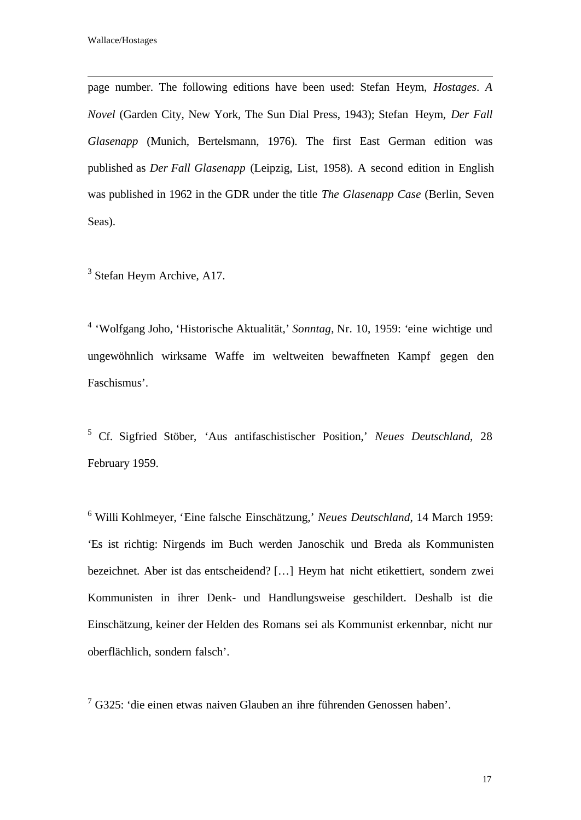l

page number. The following editions have been used: Stefan Heym, *Hostages*. *A Novel* (Garden City, New York, The Sun Dial Press, 1943); Stefan Heym, *Der Fall Glasenapp* (Munich, Bertelsmann, 1976). The first East German edition was published as *Der Fall Glasenapp* (Leipzig, List, 1958). A second edition in English was published in 1962 in the GDR under the title *The Glasenapp Case* (Berlin, Seven Seas).

<sup>3</sup> Stefan Heym Archive, A17.

4 'Wolfgang Joho, 'Historische Aktualität,' *Sonntag*, Nr. 10, 1959: 'eine wichtige und ungewöhnlich wirksame Waffe im weltweiten bewaffneten Kampf gegen den Faschismus'.

5 Cf. Sigfried Stöber, 'Aus antifaschistischer Position,' *Neues Deutschland*, 28 February 1959.

<sup>6</sup> Willi Kohlmeyer, 'Eine falsche Einschätzung,' *Neues Deutschland*, 14 March 1959: 'Es ist richtig: Nirgends im Buch werden Janoschik und Breda als Kommunisten bezeichnet. Aber ist das entscheidend? […] Heym hat nicht etikettiert, sondern zwei Kommunisten in ihrer Denk- und Handlungsweise geschildert. Deshalb ist die Einschätzung, keiner der Helden des Romans sei als Kommunist erkennbar, nicht nur oberflächlich, sondern falsch'.

 $7$  G325: 'die einen etwas naiven Glauben an ihre führenden Genossen haben'.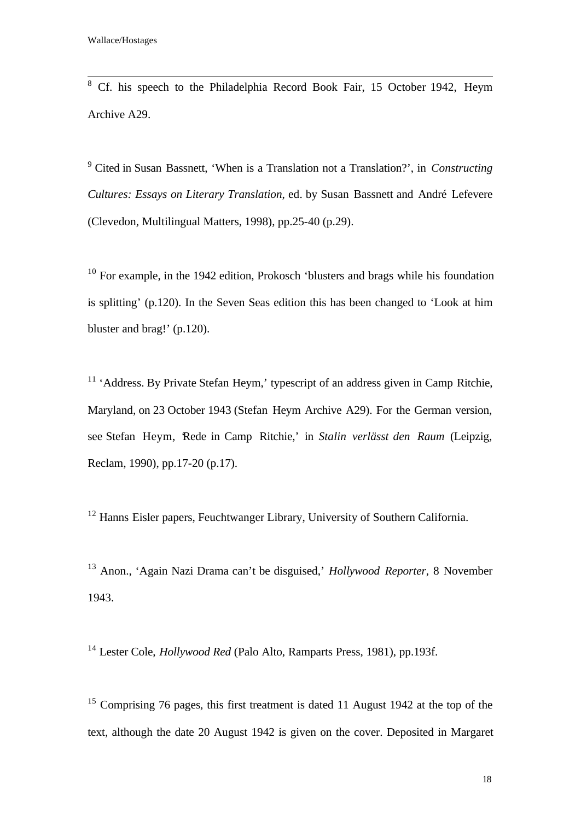<sup>8</sup> Cf. his speech to the Philadelphia Record Book Fair, 15 October 1942, Heym Archive A29.

9 Cited in Susan Bassnett, 'When is a Translation not a Translation?', in *Constructing Cultures: Essays on Literary Translation*, ed. by Susan Bassnett and André Lefevere (Clevedon, Multilingual Matters, 1998), pp.25-40 (p.29).

 $10$  For example, in the 1942 edition, Prokosch 'blusters and brags while his foundation is splitting' (p.120). In the Seven Seas edition this has been changed to 'Look at him bluster and brag!' (p.120).

<sup>11</sup> 'Address. By Private Stefan Heym,' typescript of an address given in Camp Ritchie, Maryland, on 23 October 1943 (Stefan Heym Archive A29). For the German version, see Stefan Heym, 'Rede in Camp Ritchie,' in *Stalin verlässt den Raum* (Leipzig, Reclam, 1990), pp.17-20 (p.17).

<sup>12</sup> Hanns Eisler papers, Feuchtwanger Library, University of Southern California.

<sup>13</sup> Anon., 'Again Nazi Drama can't be disguised,' *Hollywood Reporter*, 8 November 1943.

<sup>14</sup> Lester Cole, *Hollywood Red* (Palo Alto, Ramparts Press, 1981), pp.193f.

<sup>15</sup> Comprising 76 pages, this first treatment is dated 11 August 1942 at the top of the text, although the date 20 August 1942 is given on the cover. Deposited in Margaret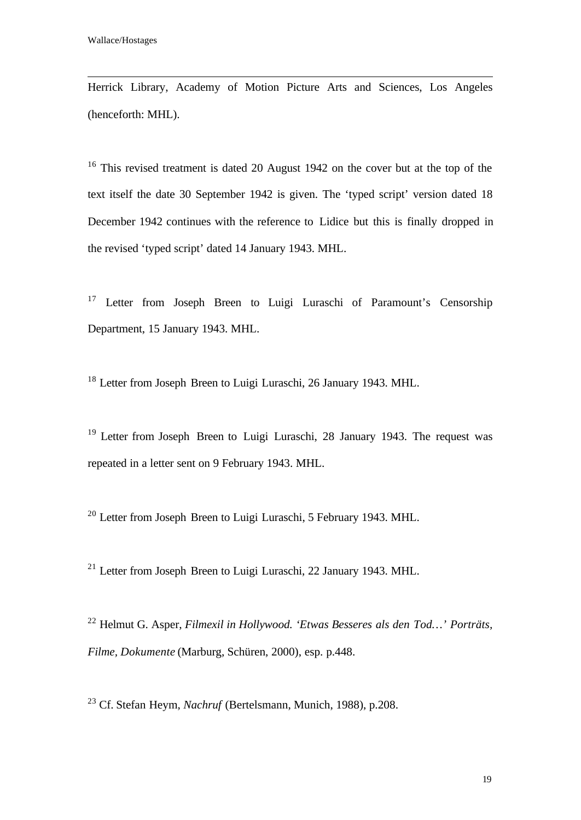l

Herrick Library, Academy of Motion Picture Arts and Sciences, Los Angeles (henceforth: MHL).

<sup>16</sup> This revised treatment is dated 20 August 1942 on the cover but at the top of the text itself the date 30 September 1942 is given. The 'typed script' version dated 18 December 1942 continues with the reference to Lidice but this is finally dropped in the revised 'typed script' dated 14 January 1943. MHL.

<sup>17</sup> Letter from Joseph Breen to Luigi Luraschi of Paramount's Censorship Department, 15 January 1943. MHL.

<sup>18</sup> Letter from Joseph Breen to Luigi Luraschi, 26 January 1943. MHL.

<sup>19</sup> Letter from Joseph Breen to Luigi Luraschi, 28 January 1943. The request was repeated in a letter sent on 9 February 1943. MHL.

<sup>20</sup> Letter from Joseph Breen to Luigi Luraschi, 5 February 1943. MHL.

 $^{21}$  Letter from Joseph Breen to Luigi Luraschi, 22 January 1943. MHL.

<sup>22</sup> Helmut G. Asper, *Filmexil in Hollywood. 'Etwas Besseres als den Tod…' Porträts, Filme, Dokumente* (Marburg, Schüren, 2000), esp. p.448.

<sup>23</sup> Cf. Stefan Heym, *Nachruf* (Bertelsmann, Munich, 1988), p.208.